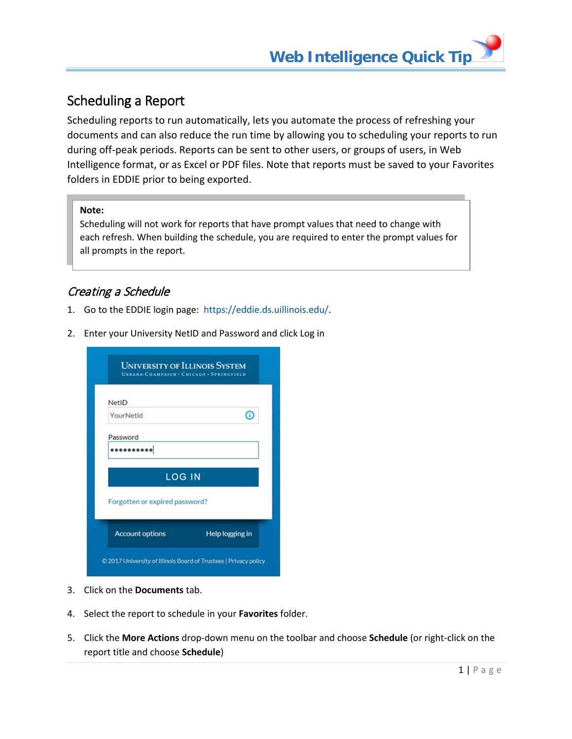# Scheduling a Report

Scheduling reports to run automatically, lets you automate the process of refreshing your documents and can also reduce the run time by allowing you to scheduling your reports to run during off-peak periods. Reports can be sent to other users, or groups of users, in Web Intelligence format, or as Excel or PDF files. Note that reports must be saved to your Favorites folders in EDDIE prior to being exported.

### **Note:**

Scheduling will not work for reports that have prompt values that need to change with each refresh. When building the schedule, you are required to enter the prompt values for all prompts in the report.

# Creating a Schedule

- 1. Go to the EDDIE login page: [https://eddie.ds.uillinois.edu/.](https://eddie.ds.uillinois.edu/)
- 2. Enter your University NetID and Password and click Log in

|                                | URBANA-CHAMPAIGN . CHICAGO . SPRINGFIELD |
|--------------------------------|------------------------------------------|
| <b>NetID</b>                   |                                          |
| YourNetid                      |                                          |
| Password                       |                                          |
|                                |                                          |
|                                | <b>LOG IN</b>                            |
| Forgotten or expired password? |                                          |
| <b>Account options</b>         | Help logging in                          |

- 3. Click on the **Documents** tab.
- 4. Select the report to schedule in your **Favorites** folder.
- 5. Click the **More Actions** drop-down menu on the toolbar and choose **Schedule** (or right-click on the report title and choose **Schedule**)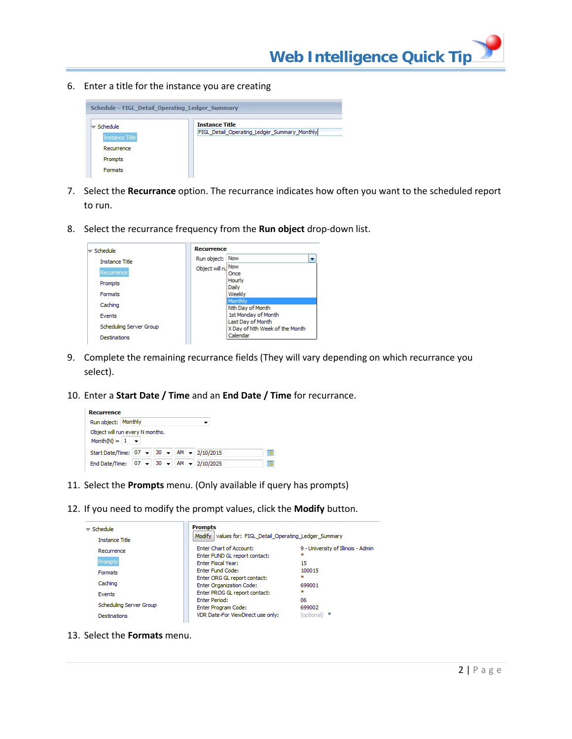6. Enter a title for the instance you are creating



- 7. Select the **Recurrance** option. The recurrance indicates how often you want to the scheduled report to run.
- 8. Select the recurrance frequency from the **Run object** drop-down list.



- 9. Complete the remaining recurrance fields (They will vary depending on which recurrance you select).
- 10. Enter a **Start Date / Time** and an **End Date / Time** for recurrance.

| <b>Recurrence</b>     |                                                 |   |
|-----------------------|-------------------------------------------------|---|
| Run object: Monthly   |                                                 |   |
| Month(N) = $1 - \div$ | Object will run every N months.                 |   |
|                       | Start Date/Time: 07 - 30 - AM - 2/10/2015       | 罱 |
|                       | End Date/Time: $ 07 -  30 -  $ AM $-$ 2/10/2025 | 爾 |

- 11. Select the **Prompts** menu. (Only available if query has prompts)
- 12. If you need to modify the prompt values, click the **Modify** button.

| $\equiv$ Schedule<br><b>Instance Title</b>               | <b>Prompts</b><br>Modify values for: FIGL Detail Operating Ledger Summary                                         |                                               |
|----------------------------------------------------------|-------------------------------------------------------------------------------------------------------------------|-----------------------------------------------|
| Recurrence<br>Prompts                                    | <b>Enter Chart of Account:</b><br>Enter FUND GL report contact:<br><b>Enter Fiscal Year:</b>                      | 9 - University of Illinois - Admin<br>×<br>15 |
| <b>Formats</b><br>Caching                                | <b>Enter Fund Code:</b><br>Enter ORG GL report contact:<br><b>Enter Organization Code:</b>                        | 100015<br>÷<br>699001                         |
| Events<br>Scheduling Server Group<br><b>Destinations</b> | Enter PROG GL report contact:<br><b>Enter Period:</b><br>Enter Program Code:<br>VDR Date-For ViewDirect use only: | ×<br>06<br>699002<br>×<br>(optional)          |

13. Select the **Formats** menu.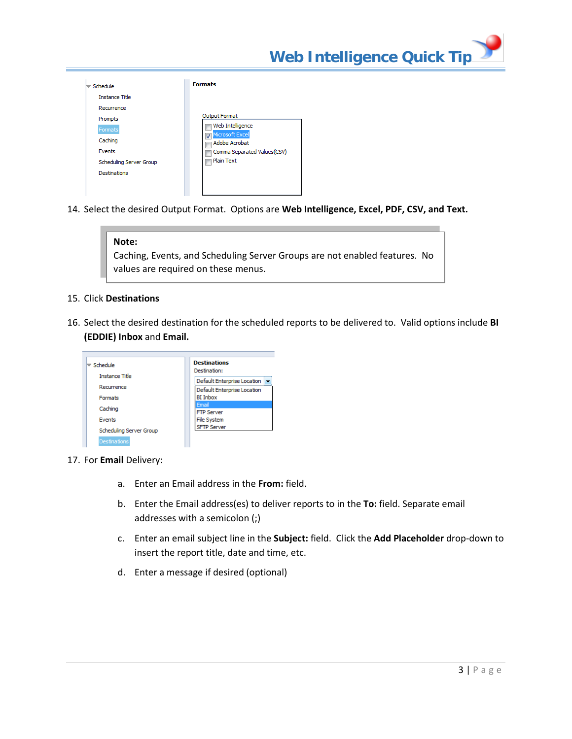| Schedule                                 | <b>Formats</b>                                       |
|------------------------------------------|------------------------------------------------------|
| <b>Instance Title</b>                    |                                                      |
| Recurrence<br>Prompts                    | Output Format                                        |
| Formats<br>Caching                       | Web Intelligence<br>Microsoft Excel<br>Adobe Acrobat |
| <b>Events</b><br>Scheduling Server Group | Comma Separated Values(CSV)<br><b>Plain Text</b>     |
| <b>Destinations</b>                      |                                                      |

14. Select the desired Output Format. Options are **Web Intelligence, Excel, PDF, CSV, and Text.**

- 15. Click **Destinations**
- 16. Select the desired destination for the scheduled reports to be delivered to. Valid options include **BI (EDDIE) Inbox** and **Email.**

| Schedule                | <b>Destinations</b><br>Destination:      |
|-------------------------|------------------------------------------|
| <b>Instance Title</b>   | Default Enterprise Location   v          |
| Recurrence              | Default Enterprise Location              |
| <b>Formats</b>          | <b>BI</b> Inbox                          |
| Caching                 | Email                                    |
| <b>Events</b>           | <b>FTP Server</b>                        |
|                         | <b>File System</b><br><b>SFTP Server</b> |
| Scheduling Server Group |                                          |
| <b>Destinations</b>     |                                          |

- 17. For **Email** Delivery:
	- a. Enter an Email address in the **From:** field.
	- b. Enter the Email address(es) to deliver reports to in the **To:** field. Separate email addresses with a semicolon (;)
	- c. Enter an email subject line in the **Subject:** field. Click the **Add Placeholder** drop-down to insert the report title, date and time, etc.
	- d. Enter a message if desired (optional)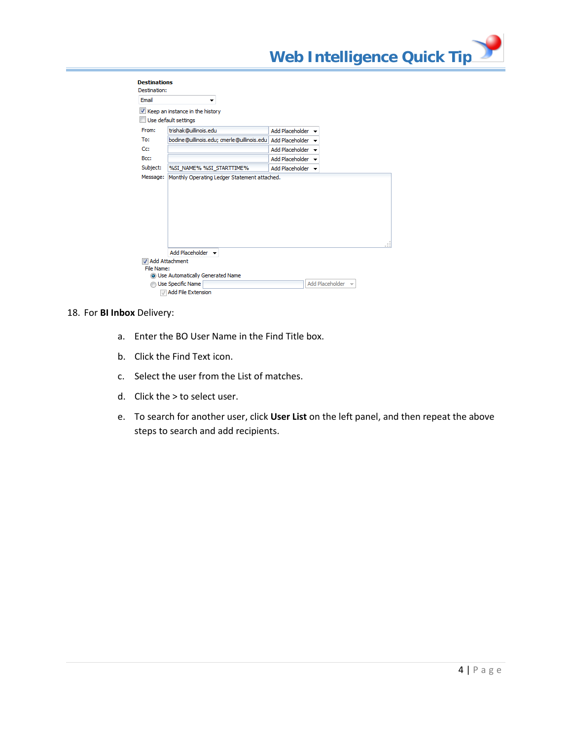| Email                |                                                                          |                        |  |  |
|----------------------|--------------------------------------------------------------------------|------------------------|--|--|
|                      | Keep an instance in the history                                          |                        |  |  |
|                      | Use default settings                                                     |                        |  |  |
| From:                | trishak@uillinois.edu                                                    | Add Placeholder        |  |  |
| To:                  | bodine@uillinois.edu; cmerle@uillinois.edu                               | <b>Add Placeholder</b> |  |  |
| Cc:                  |                                                                          | Add Placeholder        |  |  |
| Bcc:                 |                                                                          | Add Placeholder        |  |  |
|                      |                                                                          |                        |  |  |
|                      | %SI_NAME% %SI_STARTTIME%<br>Monthly Operating Ledger Statement attached. | Add Placeholder -      |  |  |
|                      |                                                                          |                        |  |  |
| Subject:<br>Message: | Add Placeholder $\blacktriangleright$                                    |                        |  |  |
|                      | Add Attachment                                                           |                        |  |  |

#### 18. For **BI Inbox** Delivery:

- a. Enter the BO User Name in the Find Title box.
- b. Click the Find Text icon.
- c. Select the user from the List of matches.
- d. Click the > to select user.
- e. To search for another user, click **User List** on the left panel, and then repeat the above steps to search and add recipients.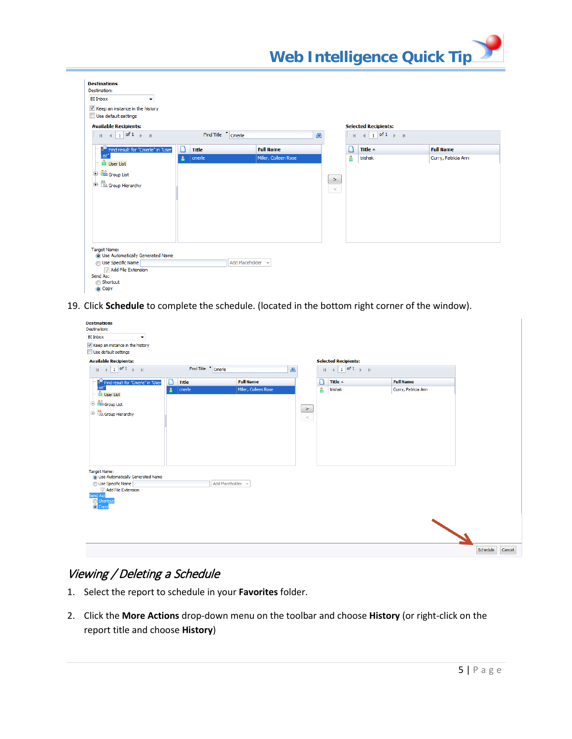| <b>Destinations</b><br>Destination:                                                                                           |                     |                      |                 |   |                                        |                     |
|-------------------------------------------------------------------------------------------------------------------------------|---------------------|----------------------|-----------------|---|----------------------------------------|---------------------|
| <b>BI</b> Inbox<br>$\blacktriangledown$                                                                                       |                     |                      |                 |   |                                        |                     |
| V Keep an instance in the history<br>Use default settings                                                                     |                     |                      |                 |   |                                        |                     |
| <b>Available Recipients:</b>                                                                                                  |                     |                      |                 |   | <b>Selected Recipients:</b>            |                     |
| $\parallel$ 1 of 1 $\parallel$ 1<br>K.                                                                                        | Find Title T Cmerle |                      | æ               | И | $1$ of $1$ $\rightarrow$ $\rightarrow$ |                     |
| <sup>4</sup> Find result for "Cmerle" in "User                                                                                | ീ<br><b>Title</b>   | <b>Full Name</b>     |                 |   | Title $\triangle$                      | <b>Full Name</b>    |
| .ist <sup>*</sup><br>& User List                                                                                              | cmerle<br>А         | Miller, Colleen Rose |                 | 흅 | trishak                                | Curry, Patricia Ann |
| <sup>1</sup> <sup>2</sup> Group List<br>$\left \frac{1}{ {\bf H} }\right $ is Section of the Section of ${\bf H}$             |                     |                      | $\, >$<br>$\,<$ |   |                                        |                     |
| Target Name:<br>O Use Automatically Generated Name<br>Use Specific Name<br>Add File Extension<br>Send As:<br>Shortcut<br>Copy |                     | Add Placeholder      |                 |   |                                        |                     |

19. Click **Schedule** to complete the schedule. (located in the bottom right corner of the window).

| <b>Destinations</b><br>Destination:<br><b>BI</b> Inbox<br>$\blacktriangledown$<br>V Keep an instance in the history<br>Use default settings |                                       |                                          |                    |          |                             |                                         |                    |
|---------------------------------------------------------------------------------------------------------------------------------------------|---------------------------------------|------------------------------------------|--------------------|----------|-----------------------------|-----------------------------------------|--------------------|
| <b>Available Recipients:</b>                                                                                                                |                                       |                                          |                    |          | <b>Selected Recipients:</b> |                                         |                    |
| $1$ of $1$ $\rightarrow$ $\rightarrow$<br>K.<br>$\overline{4}$                                                                              | Find Title <sup>*</sup> Cmerle        |                                          | dh                 | k        | $1$ of 1<br>$F = H$         |                                         |                    |
| <sup>2</sup> Find result for "Cmerle" in "User<br>List"                                                                                     | $\Box$<br><b>Title</b><br>cmerle<br>Α | <b>Full Name</b><br>Miller, Colleen Rose |                    | n<br>န္တ | Title A<br>trishak          | <b>Full Name</b><br>Curry, Patricia Ann |                    |
| & User List<br><sup>1</sup> croup List                                                                                                      |                                       |                                          | $\frac{1}{\alpha}$ |          |                             |                                         |                    |
| $\frac{1}{\left \frac{1}{2}\right }$ . As Group Hierarchy                                                                                   |                                       |                                          |                    |          |                             |                                         |                    |
|                                                                                                                                             |                                       |                                          |                    |          |                             |                                         |                    |
|                                                                                                                                             |                                       |                                          |                    |          |                             |                                         |                    |
| Target Name:<br>O Use Automatically Generated Name                                                                                          |                                       |                                          |                    |          |                             |                                         |                    |
| <b>O</b> Use Specific Name                                                                                                                  |                                       | Add Placeholder                          |                    |          |                             |                                         |                    |
| Add File Extension<br>Send As:<br>Shortcut                                                                                                  |                                       |                                          |                    |          |                             |                                         |                    |
|                                                                                                                                             |                                       |                                          |                    |          |                             |                                         |                    |
|                                                                                                                                             |                                       |                                          |                    |          |                             |                                         |                    |
|                                                                                                                                             |                                       |                                          |                    |          |                             |                                         | Schedule<br>Cancel |

## Viewing / Deleting a Schedule

- 1. Select the report to schedule in your **Favorites** folder.
- 2. Click the **More Actions** drop-down menu on the toolbar and choose **History** (or right-click on the report title and choose **History**)